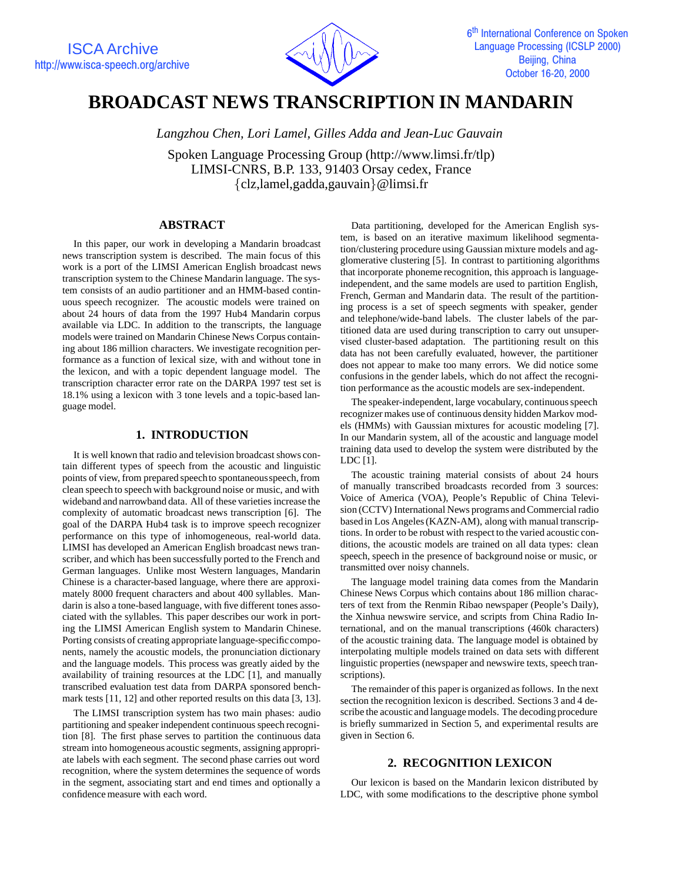

# **BROADCAST NEWS TRANSCRIPTION IN MANDARIN**

*Langzhou Chen, Lori Lamel, Gilles Adda and Jean-Luc Gauvain*

Spoken Language Processing Group (http://www.limsi.fr/tlp) LIMSI-CNRS, B.P. 133, 91403 Orsay cedex, France  ${clz,$ lamel,gadda,gauvain $\omega$ limsi.fr

# **ABSTRACT**

In this paper, our work in developing a Mandarin broadcast news transcription system is described. The main focus of this work is a port of the LIMSI American English broadcast news transcription system to the Chinese Mandarin language. The system consists of an audio partitioner and an HMM-based continuous speech recognizer. The acoustic models were trained on about 24 hours of data from the 1997 Hub4 Mandarin corpus available via LDC. In addition to the transcripts, the language models were trained on Mandarin Chinese News Corpus containing about 186 million characters. We investigate recognition performance as a function of lexical size, with and without tone in the lexicon, and with a topic dependent language model. The transcription character error rate on the DARPA 1997 test set is 18.1% using a lexicon with 3 tone levels and a topic-based language model.

## **1. INTRODUCTION**

It is well known that radio and television broadcast shows contain different types of speech from the acoustic and linguistic points of view, from prepared speechto spontaneousspeech, from clean speech to speech with background noise or music, and with wideband and narrowband data. All of these varieties increase the complexity of automatic broadcast news transcription [6]. The goal of the DARPA Hub4 task is to improve speech recognizer performance on this type of inhomogeneous, real-world data. LIMSI has developed an American English broadcast news transcriber, and which has been successfully ported to the French and German languages. Unlike most Western languages, Mandarin Chinese is a character-based language, where there are approximately 8000 frequent characters and about 400 syllables. Mandarin is also a tone-based language, with five different tones associated with the syllables. This paper describes our work in porting the LIMSI American English system to Mandarin Chinese. Porting consists of creating appropriate language-specificcomponents, namely the acoustic models, the pronunciation dictionary and the language models. This process was greatly aided by the availability of training resources at the LDC [1], and manually transcribed evaluation test data from DARPA sponsored benchmark tests [11, 12] and other reported results on this data [3, 13].

The LIMSI transcription system has two main phases: audio partitioning and speaker independent continuous speech recognition [8]. The first phase serves to partition the continuous data stream into homogeneous acoustic segments, assigning appropriate labels with each segment. The second phase carries out word recognition, where the system determines the sequence of words in the segment, associating start and end times and optionally a confidence measure with each word.

Data partitioning, developed for the American English system, is based on an iterative maximum likelihood segmentation/clustering procedure using Gaussian mixture models and agglomerative clustering [5]. In contrast to partitioning algorithms that incorporate phoneme recognition, this approach is languageindependent, and the same models are used to partition English, French, German and Mandarin data. The result of the partitioning process is a set of speech segments with speaker, gender and telephone/wide-band labels. The cluster labels of the partitioned data are used during transcription to carry out unsupervised cluster-based adaptation. The partitioning result on this data has not been carefully evaluated, however, the partitioner does not appear to make too many errors. We did notice some confusions in the gender labels, which do not affect the recognition performance as the acoustic models are sex-independent.

The speaker-independent, large vocabulary, continuous speech recognizer makes use of continuous density hidden Markov models (HMMs) with Gaussian mixtures for acoustic modeling [7]. In our Mandarin system, all of the acoustic and language model training data used to develop the system were distributed by the LDC [1].

The acoustic training material consists of about 24 hours of manually transcribed broadcasts recorded from 3 sources: Voice of America (VOA), People's Republic of China Television (CCTV) International News programs and Commercial radio based in Los Angeles (KAZN-AM), along with manual transcriptions. In order to be robust with respect to the varied acoustic conditions, the acoustic models are trained on all data types: clean speech, speech in the presence of background noise or music, or transmitted over noisy channels.

The language model training data comes from the Mandarin Chinese News Corpus which contains about 186 million characters of text from the Renmin Ribao newspaper (People's Daily), the Xinhua newswire service, and scripts from China Radio International, and on the manual transcriptions (460k characters) of the acoustic training data. The language model is obtained by interpolating multiple models trained on data sets with different linguistic properties (newspaper and newswire texts, speech transcriptions).

The remainder of this paper is organized as follows. In the next section the recognition lexicon is described. Sections 3 and 4 describe the acoustic and language models. The decoding procedure is briefly summarized in Section 5, and experimental results are given in Section 6.

# **2. RECOGNITION LEXICON**

Our lexicon is based on the Mandarin lexicon distributed by LDC, with some modifications to the descriptive phone symbol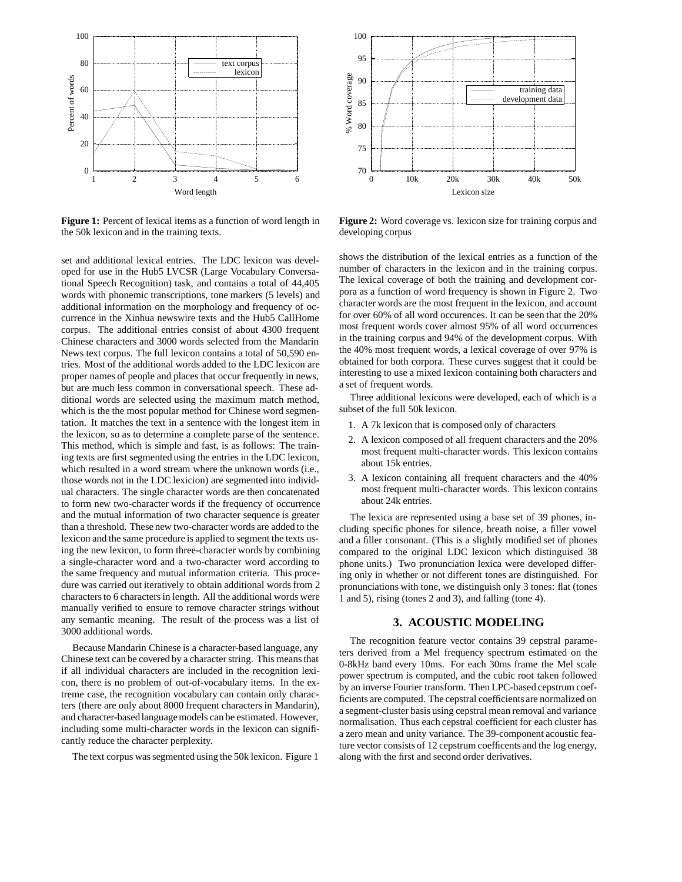

**Figure 1:** Percent of lexical items as a function of word length in the 50k lexicon and in the training texts.

set and additional lexical entries. The LDC lexicon was developed for use in the Hub5 LVCSR (Large Vocabulary Conversational Speech Recognition) task, and contains a total of 44,405 words with phonemic transcriptions, tone markers (5 levels) and additional information on the morphology and frequency of occurrence in the Xinhua newswire texts and the Hub5 CallHome corpus. The additional entries consist of about 4300 frequent Chinese characters and 3000 words selected from the Mandarin News text corpus. The full lexicon contains a total of 50,590 entries. Most of the additional words added to the LDC lexicon are proper names of people and places that occur frequently in news, but are much less common in conversational speech. These additional words are selected using the maximum match method, which is the the most popular method for Chinese word segmentation. It matches the text in a sentence with the longest item in the lexicon, so as to determine a complete parse of the sentence. This method, which is simple and fast, is as follows: The training texts are first segmented using the entries in the LDC lexicon, which resulted in a word stream where the unknown words (i.e., those words not in the LDC lexicion) are segmented into individual characters. The single character words are then concatenated to form new two-character words if the frequency of occurrence and the mutual information of two character sequence is greater than a threshold. These new two-character words are added to the lexicon and the same procedure is applied to segment the texts using the new lexicon, to form three-character words by combining a single-character word and a two-character word according to the same frequency and mutual information criteria. This procedure was carried out iteratively to obtain additional words from 2 characters to 6 characters in length. All the additional words were manually verified to ensure to remove character strings without any semantic meaning. The result of the process was a list of 3000 additional words.

Because Mandarin Chinese is a character-based language, any Chinese text can be covered by a character string. This means that if all individual characters are included in the recognition lexicon, there is no problem of out-of-vocabulary items. In the extreme case, the recognition vocabulary can contain only characters (there are only about 8000 frequent characters in Mandarin), and character-based language models can be estimated. However, including some multi-character words in the lexicon can significantly reduce the character perplexity.

The text corpus was segmented using the 50k lexicon. Figure 1



**Figure 2:** Word coverage vs. lexicon size for training corpus and developing corpus

shows the distribution of the lexical entries as a function of the number of characters in the lexicon and in the training corpus. The lexical coverage of both the training and development corpora as a function of word frequency is shown in Figure 2. Two character words are the most frequent in the lexicon, and account for over 60% of all word occurences. It can be seen that the 20% most frequent words cover almost 95% of all word occurrences in the training corpus and 94% of the development corpus. With the 40% most frequent words, a lexical coverage of over 97% is obtained for both corpora. These curves suggest that it could be interesting to use a mixed lexicon containing both characters and a set of frequent words.

Three additional lexicons were developed, each of which is a subset of the full 50k lexicon.

- 1. A 7k lexicon that is composed only of characters
- 2. A lexicon composed of all frequent characters and the 20% most frequent multi-character words. This lexicon contains about 15k entries.
- 3. A lexicon containing all frequent characters and the 40% most frequent multi-character words. This lexicon contains about 24k entries.

The lexica are represented using a base set of 39 phones, including specific phones for silence, breath noise, a filler vowel and a filler consonant. (This is a slightly modified set of phones compared to the original LDC lexicon which distinguised 38 phone units.) Two pronunciation lexica were developed differing only in whether or not different tones are distinguished. For pronunciations with tone, we distinguish only 3 tones: flat (tones 1 and 5), rising (tones 2 and 3), and falling (tone 4).

## **3. ACOUSTIC MODELING**

The recognition feature vector contains 39 cepstral parameters derived from a Mel frequency spectrum estimated on the 0-8kHz band every 10ms. For each 30ms frame the Mel scale power spectrum is computed, and the cubic root taken followed by an inverse Fourier transform. Then LPC-based cepstrum coefficients are computed. The cepstral coefficients are normalized on a segment-cluster basis using cepstral mean removal and variance normalisation. Thus each cepstral coefficient for each cluster has a zero mean and unity variance. The 39-component acoustic feature vector consists of 12 cepstrum coefficents and the log energy, along with the first and second order derivatives.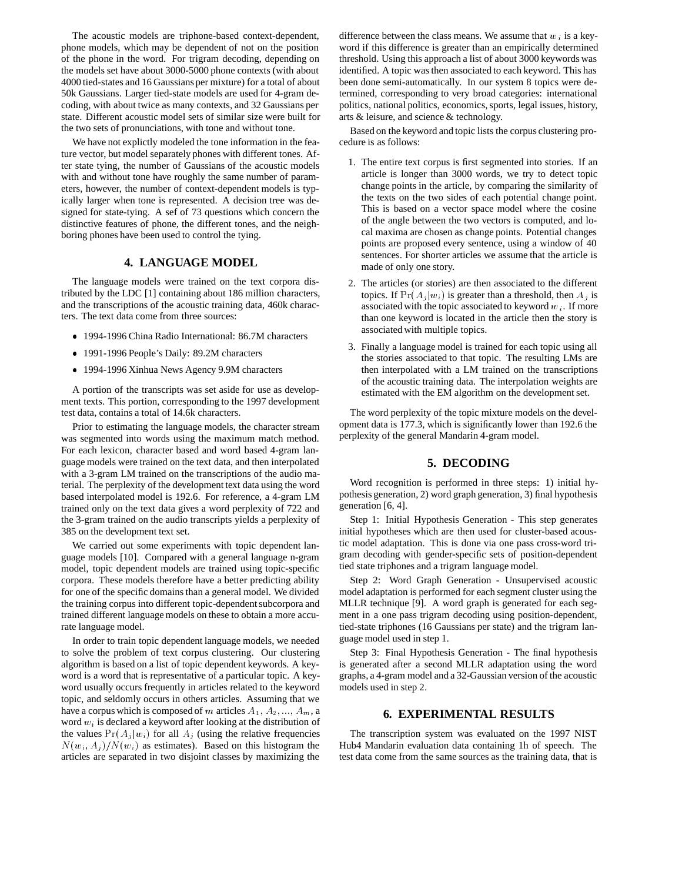The acoustic models are triphone-based context-dependent, phone models, which may be dependent of not on the position of the phone in the word. For trigram decoding, depending on the models set have about 3000-5000 phone contexts (with about 4000 tied-states and 16 Gaussians per mixture) for a total of about 50k Gaussians. Larger tied-state models are used for 4-gram decoding, with about twice as many contexts, and 32 Gaussians per state. Different acoustic model sets of similar size were built for the two sets of pronunciations, with tone and without tone.

We have not explictly modeled the tone information in the feature vector, but model separately phones with different tones. After state tying, the number of Gaussians of the acoustic models with and without tone have roughly the same number of parameters, however, the number of context-dependent models is typically larger when tone is represented. A decision tree was designed for state-tying. A sef of 73 questions which concern the distinctive features of phone, the different tones, and the neighboring phones have been used to control the tying.

## **4. LANGUAGE MODEL**

The language models were trained on the text corpora distributed by the LDC [1] containing about 186 million characters, and the transcriptions of the acoustic training data, 460k characters. The text data come from three sources:

- 1994-1996 China Radio International: 86.7M characters
- 1991-1996 People's Daily: 89.2M characters
- 1994-1996 Xinhua News Agency 9.9M characters

A portion of the transcripts was set aside for use as development texts. This portion, corresponding to the 1997 development test data, contains a total of 14.6k characters.

Prior to estimating the language models, the character stream was segmented into words using the maximum match method. For each lexicon, character based and word based 4-gram language models were trained on the text data, and then interpolated with a 3-gram LM trained on the transcriptions of the audio material. The perplexity of the development text data using the word based interpolated model is 192.6. For reference, a 4-gram LM trained only on the text data gives a word perplexity of 722 and the 3-gram trained on the audio transcripts yields a perplexity of 385 on the development text set.

We carried out some experiments with topic dependent language models [10]. Compared with a general language n-gram model, topic dependent models are trained using topic-specific corpora. These models therefore have a better predicting ability for one of the specific domains than a general model. We divided the training corpus into different topic-dependent subcorpora and trained different language models on these to obtain a more accurate language model.

In order to train topic dependent language models, we needed to solve the problem of text corpus clustering. Our clustering algorithm is based on a list of topic dependent keywords. A keyword is a word that is representative of a particular topic. A keyword usually occurs frequently in articles related to the keyword topic, and seldomly occurs in others articles. Assuming that we have a corpus which is composed of m articles  $A_1, A_2, ..., A_m$ , a word  $w_i$  is declared a keyword after looking at the distribution of the values  $Pr(A_j | w_i)$  for all  $A_j$  (using the relative frequencies  $N(w_i, A_i)/N(w_i)$  as estimates). Based on this histogram the articles are separated in two disjoint classes by maximizing the

difference between the class means. We assume that  $w_i$  is a keyword if this difference is greater than an empirically determined threshold. Using this approach a list of about 3000 keywords was identified. A topic was then associated to each keyword. This has been done semi-automatically. In our system 8 topics were determined, corresponding to very broad categories: international politics, national politics, economics, sports, legal issues, history, arts & leisure, and science & technology.

Based on the keyword and topic lists the corpus clustering procedure is as follows:

- 1. The entire text corpus is first segmented into stories. If an article is longer than 3000 words, we try to detect topic change points in the article, by comparing the similarity of the texts on the two sides of each potential change point. This is based on a vector space model where the cosine of the angle between the two vectors is computed, and local maxima are chosen as change points. Potential changes points are proposed every sentence, using a window of 40 sentences. For shorter articles we assume that the article is made of only one story.
- 2. The articles (or stories) are then associated to the different topics. If  $Pr(A_i|w_i)$  is greater than a threshold, then  $A_i$  is associated with the topic associated to keyword  $w_i$ . If more than one keyword is located in the article then the story is associated with multiple topics.
- 3. Finally a language model is trained for each topic using all the stories associated to that topic. The resulting LMs are then interpolated with a LM trained on the transcriptions of the acoustic training data. The interpolation weights are estimated with the EM algorithm on the development set.

The word perplexity of the topic mixture models on the development data is 177.3, which is significantly lower than 192.6 the perplexity of the general Mandarin 4-gram model.

#### **5. DECODING**

Word recognition is performed in three steps: 1) initial hypothesis generation, 2) word graph generation, 3) final hypothesis generation [6, 4].

Step 1: Initial Hypothesis Generation - This step generates initial hypotheses which are then used for cluster-based acoustic model adaptation. This is done via one pass cross-word trigram decoding with gender-specific sets of position-dependent tied state triphones and a trigram language model.

Step 2: Word Graph Generation - Unsupervised acoustic model adaptation is performed for each segment cluster using the MLLR technique [9]. A word graph is generated for each segment in a one pass trigram decoding using position-dependent, tied-state triphones (16 Gaussians per state) and the trigram language model used in step 1.

Step 3: Final Hypothesis Generation - The final hypothesis is generated after a second MLLR adaptation using the word graphs, a 4-gram model and a 32-Gaussian version of the acoustic models used in step 2.

#### **6. EXPERIMENTAL RESULTS**

The transcription system was evaluated on the 1997 NIST Hub4 Mandarin evaluation data containing 1h of speech. The test data come from the same sources as the training data, that is